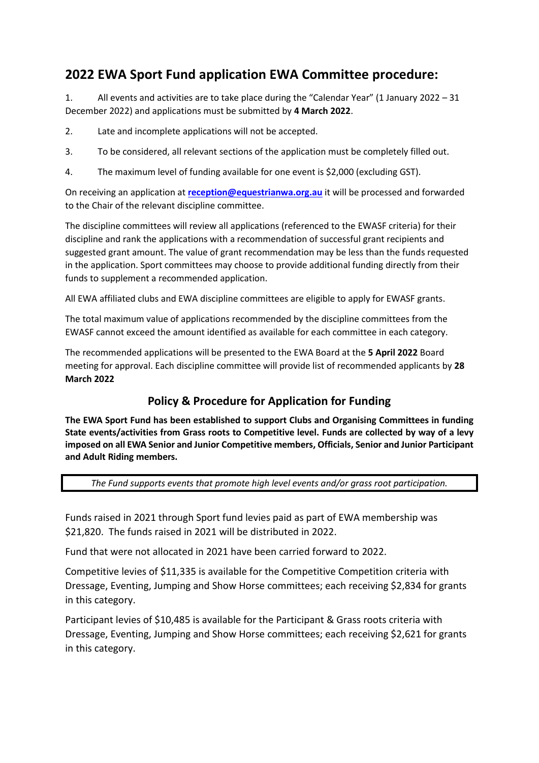# **2022 EWA Sport Fund application EWA Committee procedure:**

1. All events and activities are to take place during the "Calendar Year" (1 January 2022 – 31 December 2022) and applications must be submitted by **4 March 2022**.

- 2. Late and incomplete applications will not be accepted.
- 3. To be considered, all relevant sections of the application must be completely filled out.
- 4. The maximum level of funding available for one event is \$2,000 (excluding GST).

On receiving an application at **[reception@equestrianwa.org.au](mailto:reception@equestrianwa.org.au)** it will be processed and forwarded to the Chair of the relevant discipline committee.

The discipline committees will review all applications (referenced to the EWASF criteria) for their discipline and rank the applications with a recommendation of successful grant recipients and suggested grant amount. The value of grant recommendation may be less than the funds requested in the application. Sport committees may choose to provide additional funding directly from their funds to supplement a recommended application.

All EWA affiliated clubs and EWA discipline committees are eligible to apply for EWASF grants.

The total maximum value of applications recommended by the discipline committees from the EWASF cannot exceed the amount identified as available for each committee in each category.

The recommended applications will be presented to the EWA Board at the **5 April 2022** Board meeting for approval. Each discipline committee will provide list of recommended applicants by **28 March 2022**

## **Policy & Procedure for Application for Funding**

**The EWA Sport Fund has been established to support Clubs and Organising Committees in funding State events/activities from Grass roots to Competitive level. Funds are collected by way of a levy imposed on all EWA Senior and Junior Competitive members, Officials, Senior and Junior Participant and Adult Riding members.**

*The Fund supports events that promote high level events and/or grass root participation.*

Funds raised in 2021 through Sport fund levies paid as part of EWA membership was \$21,820. The funds raised in 2021 will be distributed in 2022.

Fund that were not allocated in 2021 have been carried forward to 2022.

Competitive levies of \$11,335 is available for the Competitive Competition criteria with Dressage, Eventing, Jumping and Show Horse committees; each receiving \$2,834 for grants in this category.

Participant levies of \$10,485 is available for the Participant & Grass roots criteria with Dressage, Eventing, Jumping and Show Horse committees; each receiving \$2,621 for grants in this category.